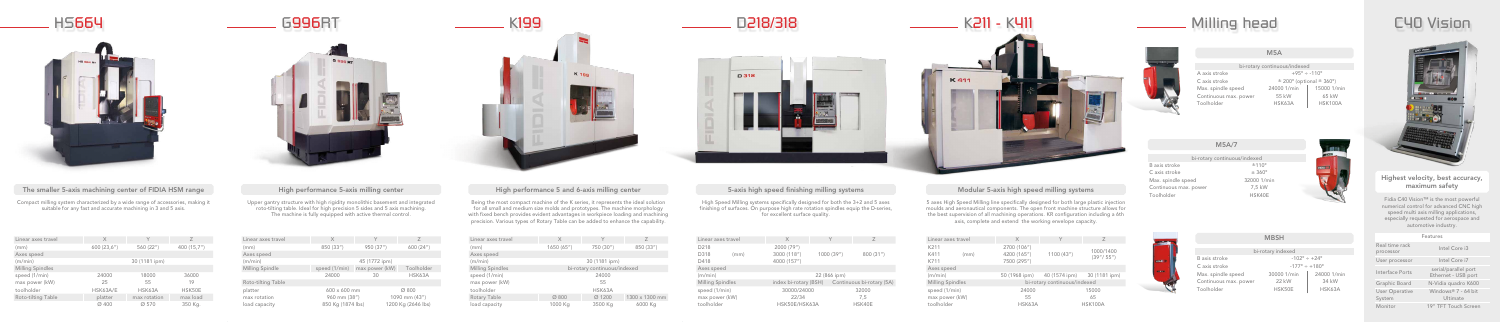

## The smaller 5-axis machining center of FIDIA HSM range High performance 5-axis milling center High performance 5 and 6-axis milling center 5-axis high speed finishing milling systems Modular 5-axis high speed milling syste



Upper gantry structure with high rigidity monolithic basement and integrated roto-tilting table. Ideal for high precision 5 sides and 5 axis machining. The machine is fully equipped with active thermal control.

Being the most compact machine of the K series, it represents the ideal solution for all small and medium size molds and prototypes. The machine morphology with fixed bench provides evident advantages in workpiece loading and machining precision. Various types of Rotary Table can be added to enhance the capability.

High Speed Milling systems specifically designed for both the 3+2 and 5 axes finishing of surfaces. On purpose high rate rotation spindles equip the D-series, for excellent surface quality.

Fidia C40 Vision<sup>™</sup> is the most powerful numerical control for advanced CNC high speed multi axis milling applications, especially requested for aerospace and automotive industry.

Compact milling system characterized by a wide range of accessories, making it suitable for any fast and accurate machining in 3 and 5 axis.

5 axes High Speed Milling line specifically designed for both large plastic injection moulds and aeronautical components. The open front machine structure allows for the best supervision of all machining operations. KR configuration including a 6th axis, complete and extend the working envelope capacity.

| Linear axes travel      | $\times$          |                              |                |  |  |
|-------------------------|-------------------|------------------------------|----------------|--|--|
| (mm)                    | 1650(65")         | 750 (30")                    | 850 (33")      |  |  |
| Axes speed              |                   |                              |                |  |  |
| (m/min)                 |                   | 30 (1181 ipm)                |                |  |  |
| <b>Milling Spindles</b> |                   | bi-rotary continuous/indexed |                |  |  |
| speed (1/min)           |                   | 24000                        |                |  |  |
| max power (kW)          |                   | 55                           |                |  |  |
| toolholder              | HSK63A            |                              |                |  |  |
| <b>Rotary Table</b>     | $\varnothing$ 800 | Ø 1200                       | 1300 x 1300 mm |  |  |
| load capacity           | 1000 Kg           | 3500 Kg                      | 6000 Kg        |  |  |

bi-rotary continuous/indexed A axis stroke  $+95^\circ \div -110^\circ$ C axis stroke  $\pm 200^{\circ}$  (optional  $\pm 360^{\circ}$ ) Max. spindle speed 24000 1/min | 15000 1/min Continuous max. power 55 kW 165 kW Toolholder HSK63A HSK100A

|  | C40 Vision |
|--|------------|
|  |            |
|  |            |
|  |            |



| Linear axes travel        | X                 | Υ              | $\overline{ }$     |
|---------------------------|-------------------|----------------|--------------------|
| (mm)                      | 850 (33")         | 950 (37")      | 600 (24")          |
| Axes speed                |                   |                |                    |
| (m/min)                   |                   | 45 (1772 ipm)  |                    |
| <b>Milling Spindle</b>    | speed (1/min)     | max power (kW) | Toolholder         |
|                           | 24000             | 30             | HSK63A             |
| <b>Roto-tilting Table</b> |                   |                |                    |
| platter                   | 600 x 600 mm      |                | $\varnothing$ 800  |
| max rotation              | 960 mm (38")      |                | 1090 mm (43")      |
| load capacity             | 850 Kg (1874 lbs) |                | 1200 Kg (2646 lbs) |



|                | Linear axes travel      |      |         | $\times$     |
|----------------|-------------------------|------|---------|--------------|
|                | D218                    |      |         | 2000(79")    |
|                | D318                    | (mm) |         | 3000 (118")  |
|                | D418                    |      |         | 4000 (157")  |
|                | Axes speed              |      |         |              |
|                | (m/min)                 |      |         |              |
|                | <b>Milling Spindles</b> |      |         | index bi-rot |
| speed (1/min)  |                         |      | 30000/2 |              |
| max power (kW) |                         | 22/3 |         |              |
|                | toolholder              |      |         | HSK50E/H     |
|                |                         |      |         |              |

| Linear axes travel      | $\times$                                        |           | Y     | Z        |  |
|-------------------------|-------------------------------------------------|-----------|-------|----------|--|
| D218                    | 2000 (79")                                      |           |       |          |  |
| D318<br>(mm)            | 3000 (118")                                     | 1000(39") |       | 800(31") |  |
| D418                    | 4000 (157")                                     |           |       |          |  |
| <b>Axes speed</b>       |                                                 |           |       |          |  |
| (m/min)                 | 22 (866 ipm)                                    |           |       |          |  |
| <b>Milling Spindles</b> | index bi-rotary (BSH) Continuous bi-rotary (5A) |           |       |          |  |
| speed (1/min)           | 30000/24000                                     |           | 32000 |          |  |
| max power (kW)          | 22/34                                           |           |       | 7,5      |  |
| toolholder              | HSK50E/HSK63A                                   |           |       | HSK40E   |  |
|                         |                                                 |           |       |          |  |

| Linear axes travel        | X          | Υ             |             |
|---------------------------|------------|---------------|-------------|
| (mm)                      | 600(23,6") | 560 $(22")$   | 400 (15,7") |
| Axes speed                |            |               |             |
| (m/min)                   |            | 30 (1181 ipm) |             |
| <b>Milling Spindles</b>   |            |               |             |
| speed (1/min)             | 24000      | 18000         | 36000       |
| max power (kW)            | 25         | 55            | 19          |
| toolholder                | HSK63A/E   | HSK63A        | HSK50E      |
| <b>Roto-tilting Table</b> | platter    | max rotation  | max load    |
|                           | Ø 400      | Ø 570         | 350 Kg.     |





| Linear axes travel           | $\times$                                  |                                           | Z                        |
|------------------------------|-------------------------------------------|-------------------------------------------|--------------------------|
| K211<br>K411<br>(mm)<br>K711 | 2700 (106")<br>4200 (165")<br>7500 (295") | 1100(43")                                 | 1000/1400<br>(39''/55'') |
| Axes speed                   |                                           |                                           |                          |
| (m/min)                      |                                           | 50 (1968 ipm) 40 (1574 ipm) 30 (1181 ipm) |                          |
| <b>Milling Spindles</b>      | bi-rotary continuous/indexed              |                                           |                          |
| speed (1/min)                | 24000                                     | 15000                                     |                          |
| max power (kW)               | 55                                        |                                           | 65                       |
| toolholder                   | HSK63A                                    |                                           | <b>HSK100A</b>           |



|                                 | <b>Features</b>                             |
|---------------------------------|---------------------------------------------|
| Real time rack<br>processor     | Intel Core i3                               |
| User processor                  | Intel Core i7                               |
| <b>Interface Ports</b>          | serial/parallel port<br>Ethernet - USB port |
| <b>Graphic Board</b>            | N-Vidia quadro K600                         |
| <b>User Operative</b><br>System | Windows® 7 - 64 bit<br>Ultimate             |
| Monitor                         | 19" TFT Touch Screen                        |

|                       | bi-rotary continuous/indexed |
|-----------------------|------------------------------|
| B axis stroke         | ±110°                        |
| C axis stroke         | $± 360^{\circ}$              |
| Max. spindle speed    | 32000 1/min                  |
| Continuous max. power | 7,5 kW                       |
| Toolholder            | HSK40E                       |
|                       |                              |





| bi-rotary indexed                |             |  |  |  |
|----------------------------------|-------------|--|--|--|
| $-102^{\circ} \div +24^{\circ}$  |             |  |  |  |
| $-177^{\circ} \div +180^{\circ}$ |             |  |  |  |
| 30000 1/min                      | 24000 1/min |  |  |  |
| <b>22 kW</b>                     | 34 kW       |  |  |  |
| HSK50E                           | HSK63A      |  |  |  |
|                                  |             |  |  |  |

## Highest velocity, best accuracy, maximum safety

## M5A

## M5A/7

## MBSH